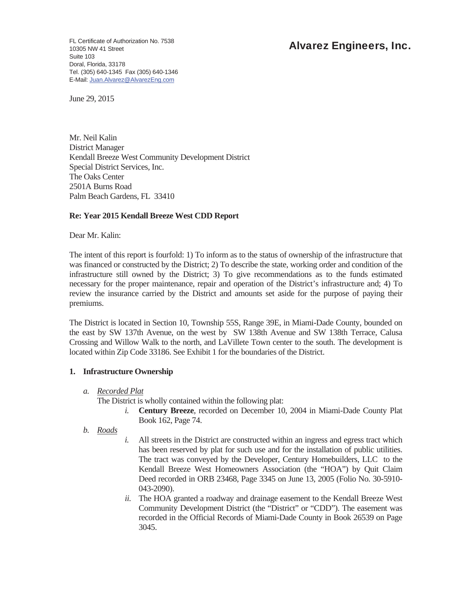FL Certificate of Authorization No. 7538<br>10305 NW 41 Street<br>10305 NW 41 Street 10305 NW 41 Street Suite 103 Doral, Florida, 33178 Tel. (305) 640-1345 Fax (305) 640-1346 E-Mail: Juan.Alvarez@AlvarezEng.com

June 29, 2015

Mr. Neil Kalin District Manager Kendall Breeze West Community Development District Special District Services, Inc. The Oaks Center 2501A Burns Road Palm Beach Gardens, FL 33410

# **Re: Year 2015 Kendall Breeze West CDD Report**

Dear Mr. Kalin:

The intent of this report is fourfold: 1) To inform as to the status of ownership of the infrastructure that was financed or constructed by the District; 2) To describe the state, working order and condition of the infrastructure still owned by the District; 3) To give recommendations as to the funds estimated necessary for the proper maintenance, repair and operation of the District's infrastructure and; 4) To review the insurance carried by the District and amounts set aside for the purpose of paying their premiums.

The District is located in Section 10, Township 55S, Range 39E, in Miami-Dade County, bounded on the east by SW 137th Avenue, on the west by SW 138th Avenue and SW 138th Terrace, Calusa Crossing and Willow Walk to the north, and LaVillete Town center to the south. The development is located within Zip Code 33186. See Exhibit 1 for the boundaries of the District.

# **1. Infrastructure Ownership**

*a. Recorded Plat* 

The District is wholly contained within the following plat:

- *i.* **Century Breeze**, recorded on December 10, 2004 in Miami-Dade County Plat Book 162, Page 74.
- *b. Roads*
- *i.* All streets in the District are constructed within an ingress and egress tract which has been reserved by plat for such use and for the installation of public utilities. The tract was conveyed by the Developer, Century Homebuilders, LLC to the Kendall Breeze West Homeowners Association (the "HOA") by Quit Claim Deed recorded in ORB 23468, Page 3345 on June 13, 2005 (Folio No. 30-5910- 043-2090).
- *ii.* The HOA granted a roadway and drainage easement to the Kendall Breeze West Community Development District (the "District" or "CDD"). The easement was recorded in the Official Records of Miami-Dade County in Book 26539 on Page 3045.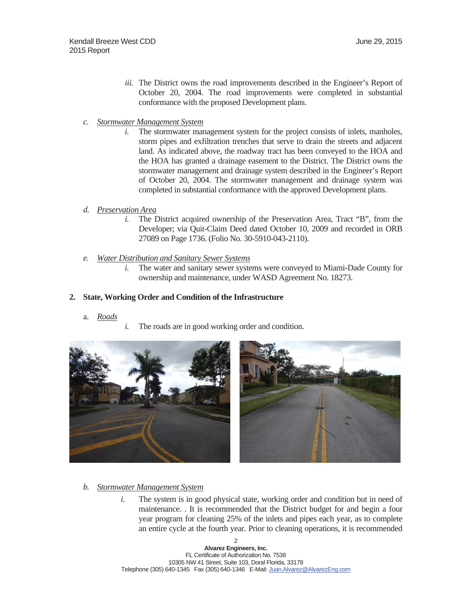- *iii.* The District owns the road improvements described in the Engineer's Report of October 20, 2004. The road improvements were completed in substantial conformance with the proposed Development plans.
- *c. Stormwater Management System* 
	- *i.* The stormwater management system for the project consists of inlets, manholes, storm pipes and exfiltration trenches that serve to drain the streets and adjacent land. As indicated above, the roadway tract has been conveyed to the HOA and the HOA has granted a drainage easement to the District. The District owns the stormwater management and drainage system described in the Engineer's Report of October 20, 2004. The stormwater management and drainage system was completed in substantial conformance with the approved Development plans.

### *d. Preservation Area*

- *i.* The District acquired ownership of the Preservation Area, Tract "B", from the Developer; via Quit-Claim Deed dated October 10, 2009 and recorded in ORB 27089 on Page 1736. (Folio No. 30-5910-043-2110).
- *e. Water Distribution and Sanitary Sewer Systems* 
	- *i.* The water and sanitary sewer systems were conveyed to Miami-Dade County for ownership and maintenance, under WASD Agreement No. 18273.

## **2. State, Working Order and Condition of the Infrastructure**

- a. *Roads*
- *i.* The roads are in good working order and condition.



- *b. Stormwater Management System* 
	- *i.* The system is in good physical state, working order and condition but in need of maintenance. . It is recommended that the District budget for and begin a four year program for cleaning 25% of the inlets and pipes each year, as to complete an entire cycle at the fourth year. Prior to cleaning operations, it is recommended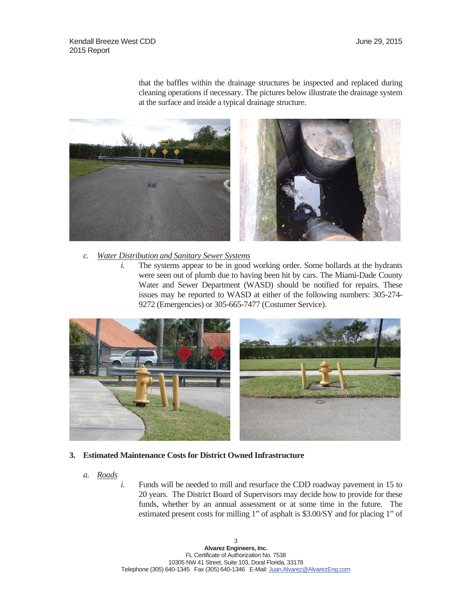that the baffles within the drainage structures be inspected and replaced during cleaning operations if necessary. The pictures below illustrate the drainage system at the surface and inside a typical drainage structure.



- *c. Water Distribution and Sanitary Sewer Systems* 
	- *i.* The systems appear to be in good working order. Some bollards at the hydrants were seen out of plumb due to having been hit by cars. The Miami-Dade County Water and Sewer Department (WASD) should be notified for repairs. These issues may be reported to WASD at either of the following numbers: 305-274- 9272 (Emergencies) or 305-665-7477 (Costumer Service).



- **3. Estimated Maintenance Costs for District Owned Infrastructure** 
	- *a. Roads*
- *i.* Funds will be needed to mill and resurface the CDD roadway pavement in 15 to 20 years. The District Board of Supervisors may decide how to provide for these funds, whether by an annual assessment or at some time in the future. The estimated present costs for milling 1" of asphalt is \$3.00/SY and for placing 1" of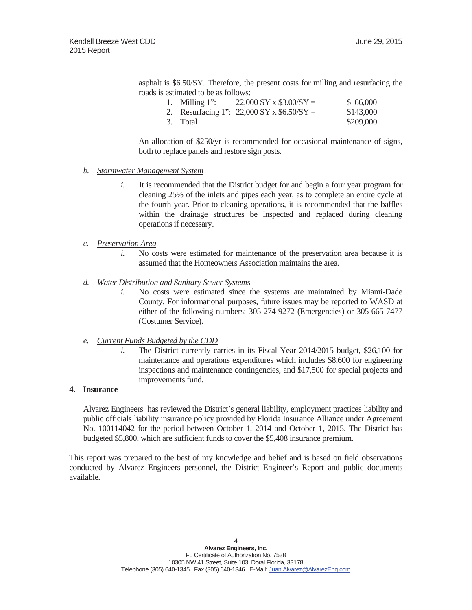asphalt is \$6.50/SY. Therefore, the present costs for milling and resurfacing the roads is estimated to be as follows:

| 1. Milling $1$ ": | $22,000$ SY x \$3.00/SY =                    | \$66,000  |
|-------------------|----------------------------------------------|-----------|
|                   | 2. Resurfacing 1": $22,000$ SY x \$6.50/SY = | \$143,000 |
| 3. Total          |                                              | \$209,000 |

An allocation of \$250/yr is recommended for occasional maintenance of signs, both to replace panels and restore sign posts.

### *b. Stormwater Management System*

- *i.* It is recommended that the District budget for and begin a four year program for cleaning 25% of the inlets and pipes each year, as to complete an entire cycle at the fourth year. Prior to cleaning operations, it is recommended that the baffles within the drainage structures be inspected and replaced during cleaning operations if necessary.
- *c. Preservation Area* 
	- *i.* No costs were estimated for maintenance of the preservation area because it is assumed that the Homeowners Association maintains the area.
- *d. Water Distribution and Sanitary Sewer Systems* 
	- *i.* No costs were estimated since the systems are maintained by Miami-Dade County. For informational purposes, future issues may be reported to WASD at either of the following numbers: 305-274-9272 (Emergencies) or 305-665-7477 (Costumer Service).
- *e. Current Funds Budgeted by the CDD* 
	- *i.* The District currently carries in its Fiscal Year 2014/2015 budget, \$26,100 for maintenance and operations expenditures which includes \$8,600 for engineering inspections and maintenance contingencies, and \$17,500 for special projects and improvements fund.

## **4. Insurance**

Alvarez Engineers has reviewed the District's general liability, employment practices liability and public officials liability insurance policy provided by Florida Insurance Alliance under Agreement No. 100114042 for the period between October 1, 2014 and October 1, 2015. The District has budgeted \$5,800, which are sufficient funds to cover the \$5,408 insurance premium.

This report was prepared to the best of my knowledge and belief and is based on field observations conducted by Alvarez Engineers personnel, the District Engineer's Report and public documents available.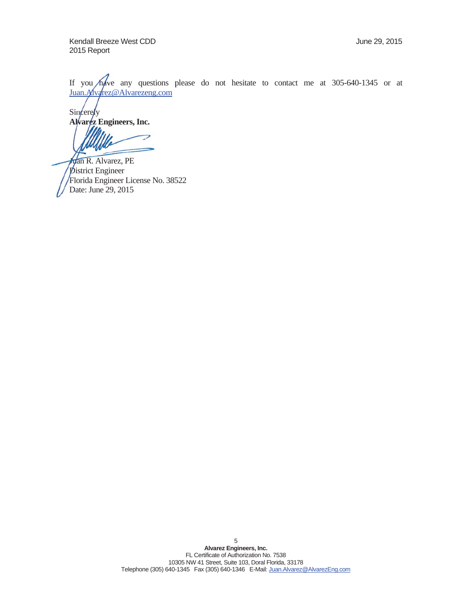Kendall Breeze West CDD **Van Englisher COV** June 29, 2015 2015 Report

If you have any questions please do not hesitate to contact me at  $305-640-1345$  or at Juan. Alvarez@Alvarezeng.com

Sincerely **Alvarez Engineers, Inc.** 

Juan R. Alvarez, PE **District Engineer** Florida Engineer License No. 38522 385 Date: June 29, 2015